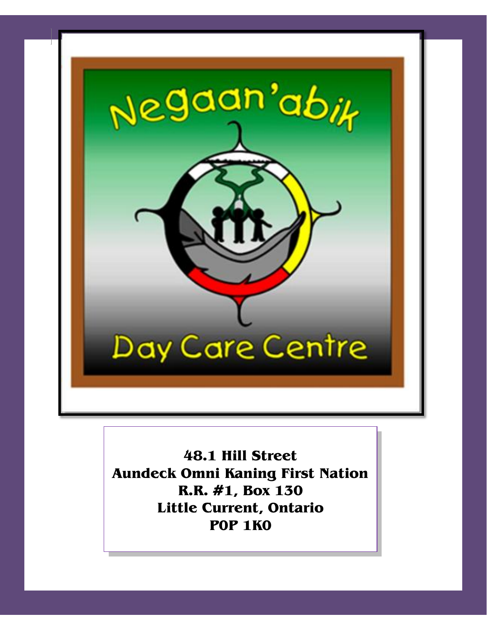

**48.1 Hill Street Aundeck Omni Kaning First Nation R.R. #1, Box 130 Little Current, Ontario P0P 1K0**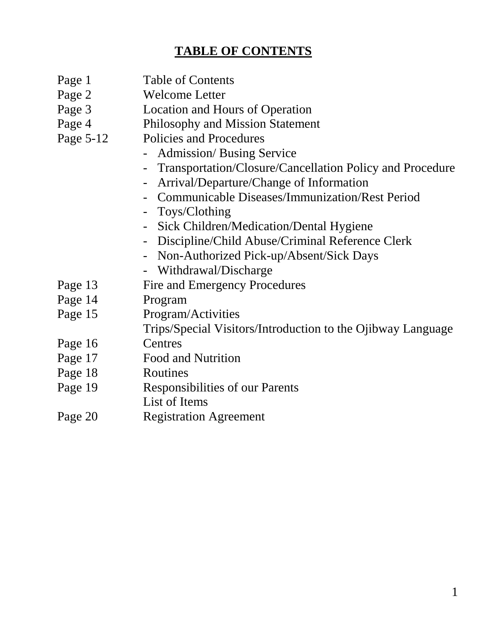# **TABLE OF CONTENTS**

- Page 1 Table of Contents
- Page 2 Welcome Letter
- Page 3 Location and Hours of Operation
- Page 4 Philosophy and Mission Statement
- Page 5-12 Policies and Procedures
	- Admission/ Busing Service
	- Transportation/Closure/Cancellation Policy and Procedure
	- Arrival/Departure/Change of Information
	- Communicable Diseases/Immunization/Rest Period
	- Toys/Clothing
	- Sick Children/Medication/Dental Hygiene
	- Discipline/Child Abuse/Criminal Reference Clerk
	- Non-Authorized Pick-up/Absent/Sick Days
	- Withdrawal/Discharge
- Page 13 Fire and Emergency Procedures
- Page 14 Program
- Page 15 Program/Activities

Trips/Special Visitors/Introduction to the Ojibway Language

- Page 16 Centres
- Page 17 Food and Nutrition
- Page 18 Routines
- Page 19 Responsibilities of our Parents
- List of Items
- Page 20 Registration Agreement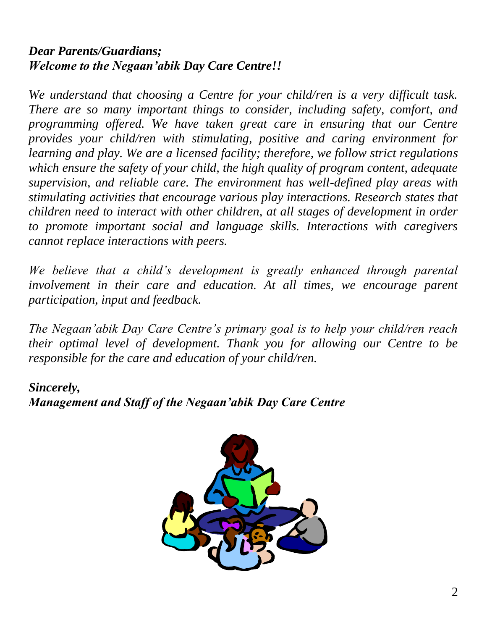# *Dear Parents/Guardians; Welcome to the Negaan'abik Day Care Centre!!*

*We understand that choosing a Centre for your child/ren is a very difficult task. There are so many important things to consider, including safety, comfort, and programming offered. We have taken great care in ensuring that our Centre provides your child/ren with stimulating, positive and caring environment for learning and play. We are a licensed facility; therefore, we follow strict regulations which ensure the safety of your child, the high quality of program content, adequate supervision, and reliable care. The environment has well-defined play areas with stimulating activities that encourage various play interactions. Research states that children need to interact with other children, at all stages of development in order to promote important social and language skills. Interactions with caregivers cannot replace interactions with peers.*

We believe that a child's development is greatly enhanced through parental *involvement in their care and education. At all times, we encourage parent participation, input and feedback.*

*The Negaan'abik Day Care Centre's primary goal is to help your child/ren reach their optimal level of development. Thank you for allowing our Centre to be responsible for the care and education of your child/ren.*

# *Sincerely, Management and Staff of the Negaan'abik Day Care Centre*

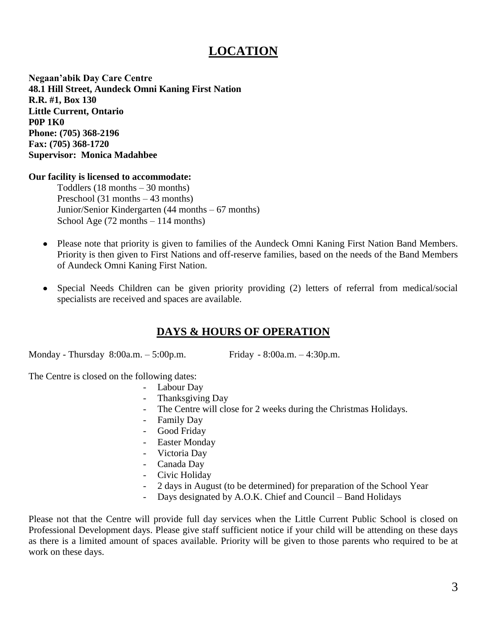# **LOCATION**

**Negaan'abik Day Care Centre 48.1 Hill Street, Aundeck Omni Kaning First Nation R.R. #1, Box 130 Little Current, Ontario P0P 1K0 Phone: (705) 368-2196 Fax: (705) 368-1720 Supervisor: Monica Madahbee**

#### **Our facility is licensed to accommodate:**

Toddlers (18 months – 30 months) Preschool (31 months – 43 months) Junior/Senior Kindergarten (44 months – 67 months) School Age (72 months – 114 months)

- Please note that priority is given to families of the Aundeck Omni Kaning First Nation Band Members. Priority is then given to First Nations and off-reserve families, based on the needs of the Band Members of Aundeck Omni Kaning First Nation.
- Special Needs Children can be given priority providing (2) letters of referral from medical/social  $\bullet$ specialists are received and spaces are available.

### **DAYS & HOURS OF OPERATION**

Monday - Thursday 8:00a.m. – 5:00p.m. Friday - 8:00a.m. – 4:30p.m.

The Centre is closed on the following dates:

- Labour Day
- Thanksgiving Day
- The Centre will close for 2 weeks during the Christmas Holidays.
- Family Day
- Good Friday
- Easter Monday
- Victoria Day
- Canada Day
- Civic Holiday
- 2 days in August (to be determined) for preparation of the School Year
- Days designated by A.O.K. Chief and Council Band Holidays

Please not that the Centre will provide full day services when the Little Current Public School is closed on Professional Development days. Please give staff sufficient notice if your child will be attending on these days as there is a limited amount of spaces available. Priority will be given to those parents who required to be at work on these days.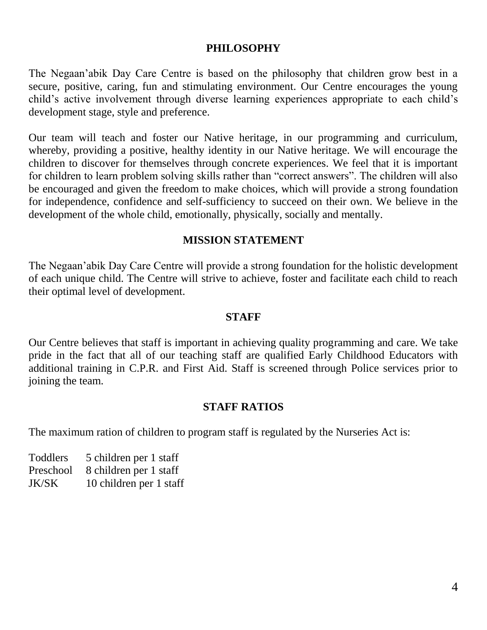### **PHILOSOPHY**

The Negaan'abik Day Care Centre is based on the philosophy that children grow best in a secure, positive, caring, fun and stimulating environment. Our Centre encourages the young child's active involvement through diverse learning experiences appropriate to each child's development stage, style and preference.

Our team will teach and foster our Native heritage, in our programming and curriculum, whereby, providing a positive, healthy identity in our Native heritage. We will encourage the children to discover for themselves through concrete experiences. We feel that it is important for children to learn problem solving skills rather than "correct answers". The children will also be encouraged and given the freedom to make choices, which will provide a strong foundation for independence, confidence and self-sufficiency to succeed on their own. We believe in the development of the whole child, emotionally, physically, socially and mentally.

#### **MISSION STATEMENT**

The Negaan'abik Day Care Centre will provide a strong foundation for the holistic development of each unique child. The Centre will strive to achieve, foster and facilitate each child to reach their optimal level of development.

#### **STAFF**

Our Centre believes that staff is important in achieving quality programming and care. We take pride in the fact that all of our teaching staff are qualified Early Childhood Educators with additional training in C.P.R. and First Aid. Staff is screened through Police services prior to joining the team.

#### **STAFF RATIOS**

The maximum ration of children to program staff is regulated by the Nurseries Act is:

Toddlers 5 children per 1 staff Preschool 8 children per 1 staff JK/SK 10 children per 1 staff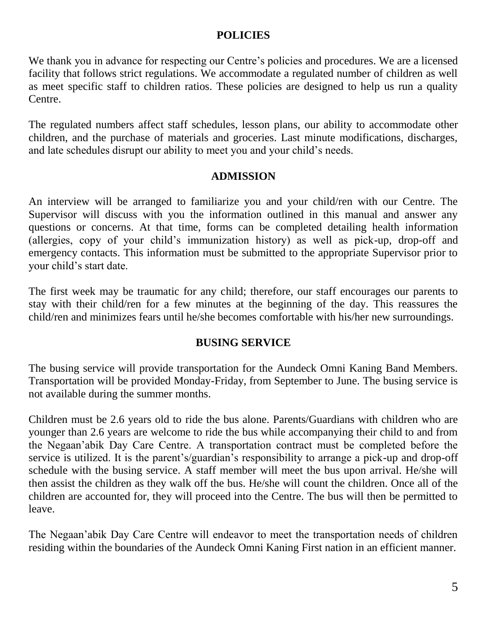### **POLICIES**

We thank you in advance for respecting our Centre's policies and procedures. We are a licensed facility that follows strict regulations. We accommodate a regulated number of children as well as meet specific staff to children ratios. These policies are designed to help us run a quality Centre.

The regulated numbers affect staff schedules, lesson plans, our ability to accommodate other children, and the purchase of materials and groceries. Last minute modifications, discharges, and late schedules disrupt our ability to meet you and your child's needs.

#### **ADMISSION**

An interview will be arranged to familiarize you and your child/ren with our Centre. The Supervisor will discuss with you the information outlined in this manual and answer any questions or concerns. At that time, forms can be completed detailing health information (allergies, copy of your child's immunization history) as well as pick-up, drop-off and emergency contacts. This information must be submitted to the appropriate Supervisor prior to your child's start date.

The first week may be traumatic for any child; therefore, our staff encourages our parents to stay with their child/ren for a few minutes at the beginning of the day. This reassures the child/ren and minimizes fears until he/she becomes comfortable with his/her new surroundings.

### **BUSING SERVICE**

The busing service will provide transportation for the Aundeck Omni Kaning Band Members. Transportation will be provided Monday-Friday, from September to June. The busing service is not available during the summer months.

Children must be 2.6 years old to ride the bus alone. Parents/Guardians with children who are younger than 2.6 years are welcome to ride the bus while accompanying their child to and from the Negaan'abik Day Care Centre. A transportation contract must be completed before the service is utilized. It is the parent's/guardian's responsibility to arrange a pick-up and drop-off schedule with the busing service. A staff member will meet the bus upon arrival. He/she will then assist the children as they walk off the bus. He/she will count the children. Once all of the children are accounted for, they will proceed into the Centre. The bus will then be permitted to leave.

The Negaan'abik Day Care Centre will endeavor to meet the transportation needs of children residing within the boundaries of the Aundeck Omni Kaning First nation in an efficient manner.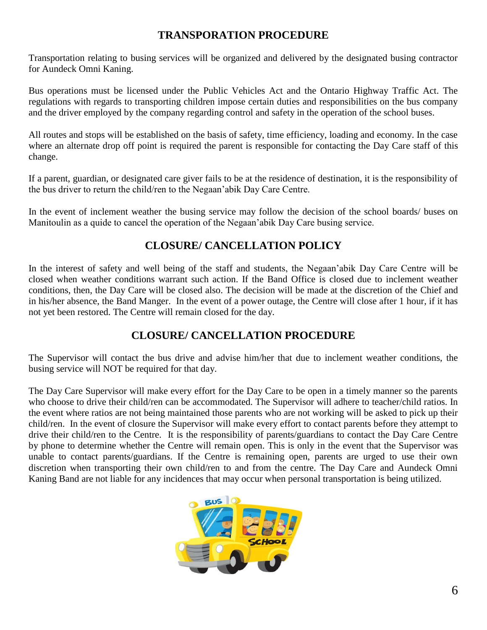### **TRANSPORATION PROCEDURE**

Transportation relating to busing services will be organized and delivered by the designated busing contractor for Aundeck Omni Kaning.

Bus operations must be licensed under the Public Vehicles Act and the Ontario Highway Traffic Act. The regulations with regards to transporting children impose certain duties and responsibilities on the bus company and the driver employed by the company regarding control and safety in the operation of the school buses.

All routes and stops will be established on the basis of safety, time efficiency, loading and economy. In the case where an alternate drop off point is required the parent is responsible for contacting the Day Care staff of this change.

If a parent, guardian, or designated care giver fails to be at the residence of destination, it is the responsibility of the bus driver to return the child/ren to the Negaan'abik Day Care Centre.

In the event of inclement weather the busing service may follow the decision of the school boards/ buses on Manitoulin as a quide to cancel the operation of the Negaan'abik Day Care busing service.

## **CLOSURE/ CANCELLATION POLICY**

In the interest of safety and well being of the staff and students, the Negaan'abik Day Care Centre will be closed when weather conditions warrant such action. If the Band Office is closed due to inclement weather conditions, then, the Day Care will be closed also. The decision will be made at the discretion of the Chief and in his/her absence, the Band Manger. In the event of a power outage, the Centre will close after 1 hour, if it has not yet been restored. The Centre will remain closed for the day.

### **CLOSURE/ CANCELLATION PROCEDURE**

The Supervisor will contact the bus drive and advise him/her that due to inclement weather conditions, the busing service will NOT be required for that day.

The Day Care Supervisor will make every effort for the Day Care to be open in a timely manner so the parents who choose to drive their child/ren can be accommodated. The Supervisor will adhere to teacher/child ratios. In the event where ratios are not being maintained those parents who are not working will be asked to pick up their child/ren. In the event of closure the Supervisor will make every effort to contact parents before they attempt to drive their child/ren to the Centre. It is the responsibility of parents/guardians to contact the Day Care Centre by phone to determine whether the Centre will remain open. This is only in the event that the Supervisor was unable to contact parents/guardians. If the Centre is remaining open, parents are urged to use their own discretion when transporting their own child/ren to and from the centre. The Day Care and Aundeck Omni Kaning Band are not liable for any incidences that may occur when personal transportation is being utilized.

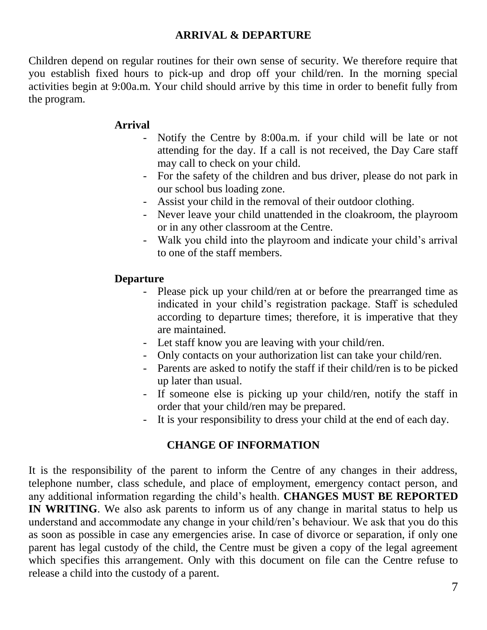### **ARRIVAL & DEPARTURE**

Children depend on regular routines for their own sense of security. We therefore require that you establish fixed hours to pick-up and drop off your child/ren. In the morning special activities begin at 9:00a.m. Your child should arrive by this time in order to benefit fully from the program.

### **Arrival**

- Notify the Centre by 8:00a.m. if your child will be late or not attending for the day. If a call is not received, the Day Care staff may call to check on your child.
- For the safety of the children and bus driver, please do not park in our school bus loading zone.
- Assist your child in the removal of their outdoor clothing.
- Never leave your child unattended in the cloakroom, the playroom or in any other classroom at the Centre.
- Walk you child into the playroom and indicate your child's arrival to one of the staff members.

### **Departure**

- Please pick up your child/ren at or before the prearranged time as indicated in your child's registration package. Staff is scheduled according to departure times; therefore, it is imperative that they are maintained.
- Let staff know you are leaving with your child/ren.
- Only contacts on your authorization list can take your child/ren.
- Parents are asked to notify the staff if their child/ren is to be picked up later than usual.
- If someone else is picking up your child/ren, notify the staff in order that your child/ren may be prepared.
- It is your responsibility to dress your child at the end of each day.

### **CHANGE OF INFORMATION**

It is the responsibility of the parent to inform the Centre of any changes in their address, telephone number, class schedule, and place of employment, emergency contact person, and any additional information regarding the child's health. **CHANGES MUST BE REPORTED IN WRITING**. We also ask parents to inform us of any change in marital status to help us understand and accommodate any change in your child/ren's behaviour. We ask that you do this as soon as possible in case any emergencies arise. In case of divorce or separation, if only one parent has legal custody of the child, the Centre must be given a copy of the legal agreement which specifies this arrangement. Only with this document on file can the Centre refuse to release a child into the custody of a parent.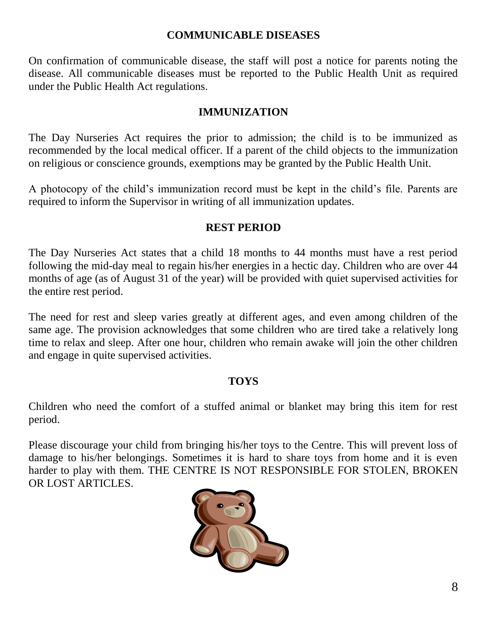### **COMMUNICABLE DISEASES**

On confirmation of communicable disease, the staff will post a notice for parents noting the disease. All communicable diseases must be reported to the Public Health Unit as required under the Public Health Act regulations.

### **IMMUNIZATION**

The Day Nurseries Act requires the prior to admission; the child is to be immunized as recommended by the local medical officer. If a parent of the child objects to the immunization on religious or conscience grounds, exemptions may be granted by the Public Health Unit.

A photocopy of the child's immunization record must be kept in the child's file. Parents are required to inform the Supervisor in writing of all immunization updates.

### **REST PERIOD**

The Day Nurseries Act states that a child 18 months to 44 months must have a rest period following the mid-day meal to regain his/her energies in a hectic day. Children who are over 44 months of age (as of August 31 of the year) will be provided with quiet supervised activities for the entire rest period.

The need for rest and sleep varies greatly at different ages, and even among children of the same age. The provision acknowledges that some children who are tired take a relatively long time to relax and sleep. After one hour, children who remain awake will join the other children and engage in quite supervised activities.

### **TOYS**

Children who need the comfort of a stuffed animal or blanket may bring this item for rest period.

Please discourage your child from bringing his/her toys to the Centre. This will prevent loss of damage to his/her belongings. Sometimes it is hard to share toys from home and it is even harder to play with them. THE CENTRE IS NOT RESPONSIBLE FOR STOLEN, BROKEN OR LOST ARTICLES.

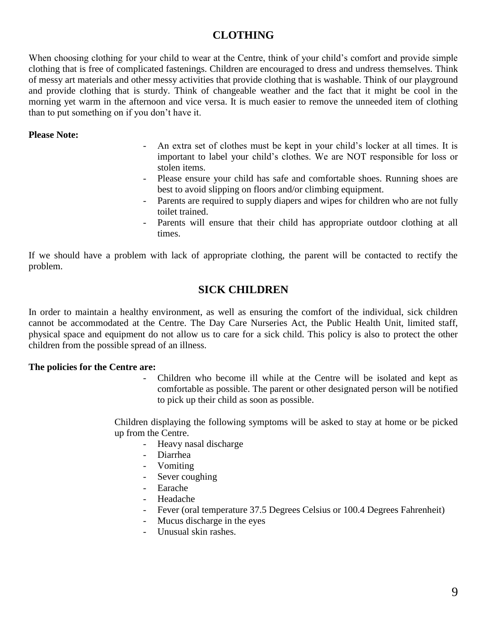### **CLOTHING**

When choosing clothing for your child to wear at the Centre, think of your child's comfort and provide simple clothing that is free of complicated fastenings. Children are encouraged to dress and undress themselves. Think of messy art materials and other messy activities that provide clothing that is washable. Think of our playground and provide clothing that is sturdy. Think of changeable weather and the fact that it might be cool in the morning yet warm in the afternoon and vice versa. It is much easier to remove the unneeded item of clothing than to put something on if you don't have it.

#### **Please Note:**

- An extra set of clothes must be kept in your child's locker at all times. It is important to label your child's clothes. We are NOT responsible for loss or stolen items.
- Please ensure your child has safe and comfortable shoes. Running shoes are best to avoid slipping on floors and/or climbing equipment.
- Parents are required to supply diapers and wipes for children who are not fully toilet trained.
- Parents will ensure that their child has appropriate outdoor clothing at all times.

If we should have a problem with lack of appropriate clothing, the parent will be contacted to rectify the problem.

### **SICK CHILDREN**

In order to maintain a healthy environment, as well as ensuring the comfort of the individual, sick children cannot be accommodated at the Centre. The Day Care Nurseries Act, the Public Health Unit, limited staff, physical space and equipment do not allow us to care for a sick child. This policy is also to protect the other children from the possible spread of an illness.

#### **The policies for the Centre are:**

- Children who become ill while at the Centre will be isolated and kept as comfortable as possible. The parent or other designated person will be notified to pick up their child as soon as possible.

Children displaying the following symptoms will be asked to stay at home or be picked up from the Centre.

- Heavy nasal discharge
- Diarrhea
- Vomiting
- Sever coughing
- Earache
- Headache
- Fever (oral temperature 37.5 Degrees Celsius or 100.4 Degrees Fahrenheit)
- Mucus discharge in the eyes
- Unusual skin rashes.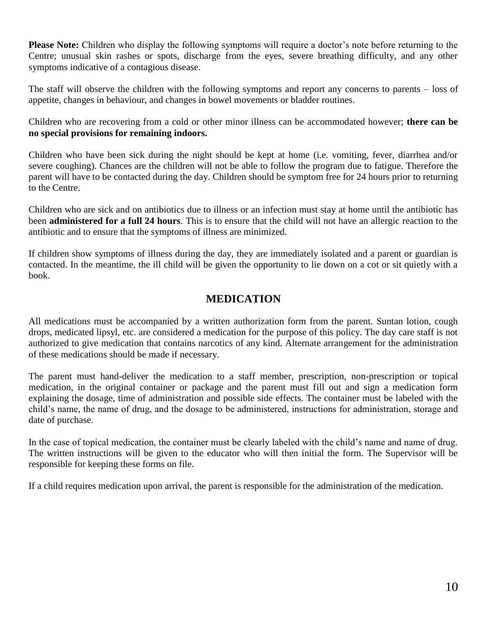**Please Note:** Children who display the following symptoms will require a doctor's note before returning to the Centre; unusual skin rashes or spots, discharge from the eyes, severe breathing difficulty, and any other symptoms indicative of a contagious disease.

The staff will observe the children with the following symptoms and report any concerns to parents – loss of appetite, changes in behaviour, and changes in bowel movements or bladder routines.

Children who are recovering from a cold or other minor illness can be accommodated however; **there can be no special provisions for remaining indoors.**

Children who have been sick during the night should be kept at home (i.e. vomiting, fever, diarrhea and/or severe coughing). Chances are the children will not be able to follow the program due to fatigue. Therefore the parent will have to be contacted during the day. Children should be symptom free for 24 hours prior to returning to the Centre.

Children who are sick and on antibiotics due to illness or an infection must stay at home until the antibiotic has been **administered for a full 24 hours**. This is to ensure that the child will not have an allergic reaction to the antibiotic and to ensure that the symptoms of illness are minimized.

If children show symptoms of illness during the day, they are immediately isolated and a parent or guardian is contacted. In the meantime, the ill child will be given the opportunity to lie down on a cot or sit quietly with a book.

### **MEDICATION**

All medications must be accompanied by a written authorization form from the parent. Suntan lotion, cough drops, medicated lipsyl, etc. are considered a medication for the purpose of this policy. The day care staff is not authorized to give medication that contains narcotics of any kind. Alternate arrangement for the administration of these medications should be made if necessary.

The parent must hand-deliver the medication to a staff member, prescription, non-prescription or topical medication, in the original container or package and the parent must fill out and sign a medication form explaining the dosage, time of administration and possible side effects. The container must be labeled with the child's name, the name of drug, and the dosage to be administered, instructions for administration, storage and date of purchase.

In the case of topical medication, the container must be clearly labeled with the child's name and name of drug. The written instructions will be given to the educator who will then initial the form. The Supervisor will be responsible for keeping these forms on file.

If a child requires medication upon arrival, the parent is responsible for the administration of the medication.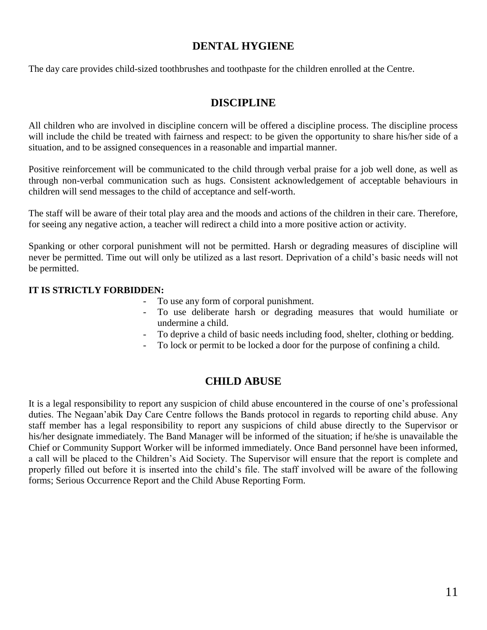#### **DENTAL HYGIENE**

The day care provides child-sized toothbrushes and toothpaste for the children enrolled at the Centre.

#### **DISCIPLINE**

All children who are involved in discipline concern will be offered a discipline process. The discipline process will include the child be treated with fairness and respect: to be given the opportunity to share his/her side of a situation, and to be assigned consequences in a reasonable and impartial manner.

Positive reinforcement will be communicated to the child through verbal praise for a job well done, as well as through non-verbal communication such as hugs. Consistent acknowledgement of acceptable behaviours in children will send messages to the child of acceptance and self-worth.

The staff will be aware of their total play area and the moods and actions of the children in their care. Therefore, for seeing any negative action, a teacher will redirect a child into a more positive action or activity.

Spanking or other corporal punishment will not be permitted. Harsh or degrading measures of discipline will never be permitted. Time out will only be utilized as a last resort. Deprivation of a child's basic needs will not be permitted.

#### **IT IS STRICTLY FORBIDDEN:**

- To use any form of corporal punishment.
- To use deliberate harsh or degrading measures that would humiliate or undermine a child.
- To deprive a child of basic needs including food, shelter, clothing or bedding.
- To lock or permit to be locked a door for the purpose of confining a child.

#### **CHILD ABUSE**

It is a legal responsibility to report any suspicion of child abuse encountered in the course of one's professional duties. The Negaan'abik Day Care Centre follows the Bands protocol in regards to reporting child abuse. Any staff member has a legal responsibility to report any suspicions of child abuse directly to the Supervisor or his/her designate immediately. The Band Manager will be informed of the situation; if he/she is unavailable the Chief or Community Support Worker will be informed immediately. Once Band personnel have been informed, a call will be placed to the Children's Aid Society. The Supervisor will ensure that the report is complete and properly filled out before it is inserted into the child's file. The staff involved will be aware of the following forms; Serious Occurrence Report and the Child Abuse Reporting Form.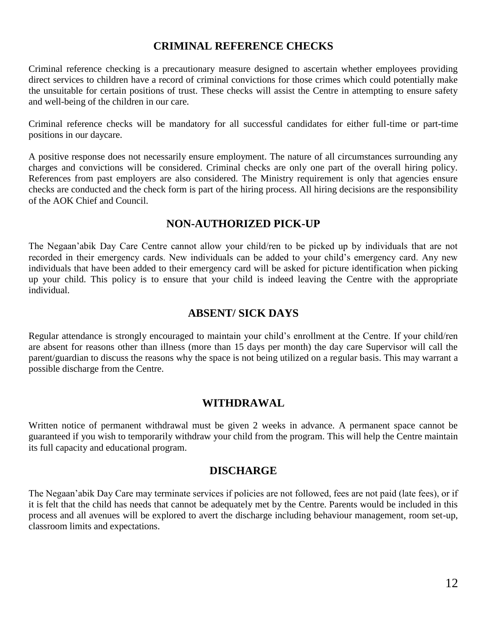#### **CRIMINAL REFERENCE CHECKS**

Criminal reference checking is a precautionary measure designed to ascertain whether employees providing direct services to children have a record of criminal convictions for those crimes which could potentially make the unsuitable for certain positions of trust. These checks will assist the Centre in attempting to ensure safety and well-being of the children in our care.

Criminal reference checks will be mandatory for all successful candidates for either full-time or part-time positions in our daycare.

A positive response does not necessarily ensure employment. The nature of all circumstances surrounding any charges and convictions will be considered. Criminal checks are only one part of the overall hiring policy. References from past employers are also considered. The Ministry requirement is only that agencies ensure checks are conducted and the check form is part of the hiring process. All hiring decisions are the responsibility of the AOK Chief and Council.

#### **NON-AUTHORIZED PICK-UP**

The Negaan'abik Day Care Centre cannot allow your child/ren to be picked up by individuals that are not recorded in their emergency cards. New individuals can be added to your child's emergency card. Any new individuals that have been added to their emergency card will be asked for picture identification when picking up your child. This policy is to ensure that your child is indeed leaving the Centre with the appropriate individual.

#### **ABSENT/ SICK DAYS**

Regular attendance is strongly encouraged to maintain your child's enrollment at the Centre. If your child/ren are absent for reasons other than illness (more than 15 days per month) the day care Supervisor will call the parent/guardian to discuss the reasons why the space is not being utilized on a regular basis. This may warrant a possible discharge from the Centre.

#### **WITHDRAWAL**

Written notice of permanent withdrawal must be given 2 weeks in advance. A permanent space cannot be guaranteed if you wish to temporarily withdraw your child from the program. This will help the Centre maintain its full capacity and educational program.

#### **DISCHARGE**

The Negaan'abik Day Care may terminate services if policies are not followed, fees are not paid (late fees), or if it is felt that the child has needs that cannot be adequately met by the Centre. Parents would be included in this process and all avenues will be explored to avert the discharge including behaviour management, room set-up, classroom limits and expectations.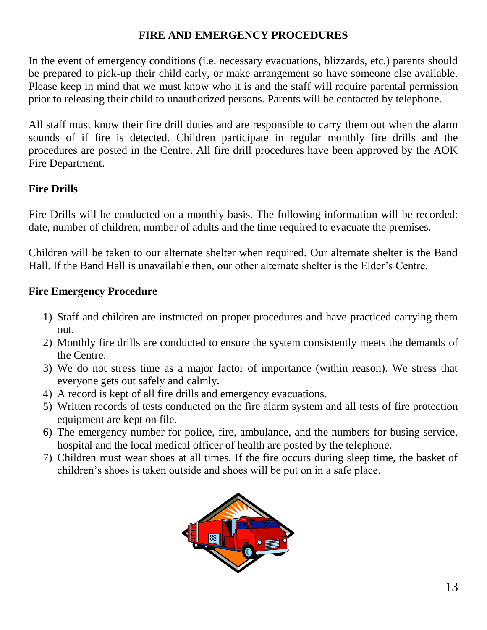## **FIRE AND EMERGENCY PROCEDURES**

In the event of emergency conditions (i.e. necessary evacuations, blizzards, etc.) parents should be prepared to pick-up their child early, or make arrangement so have someone else available. Please keep in mind that we must know who it is and the staff will require parental permission prior to releasing their child to unauthorized persons. Parents will be contacted by telephone.

All staff must know their fire drill duties and are responsible to carry them out when the alarm sounds of if fire is detected. Children participate in regular monthly fire drills and the procedures are posted in the Centre. All fire drill procedures have been approved by the AOK Fire Department.

## **Fire Drills**

Fire Drills will be conducted on a monthly basis. The following information will be recorded: date, number of children, number of adults and the time required to evacuate the premises.

Children will be taken to our alternate shelter when required. Our alternate shelter is the Band Hall. If the Band Hall is unavailable then, our other alternate shelter is the Elder's Centre.

### **Fire Emergency Procedure**

- 1) Staff and children are instructed on proper procedures and have practiced carrying them out.
- 2) Monthly fire drills are conducted to ensure the system consistently meets the demands of the Centre.
- 3) We do not stress time as a major factor of importance (within reason). We stress that everyone gets out safely and calmly.
- 4) A record is kept of all fire drills and emergency evacuations.
- 5) Written records of tests conducted on the fire alarm system and all tests of fire protection equipment are kept on file.
- 6) The emergency number for police, fire, ambulance, and the numbers for busing service, hospital and the local medical officer of health are posted by the telephone.
- 7) Children must wear shoes at all times. If the fire occurs during sleep time, the basket of children's shoes is taken outside and shoes will be put on in a safe place.

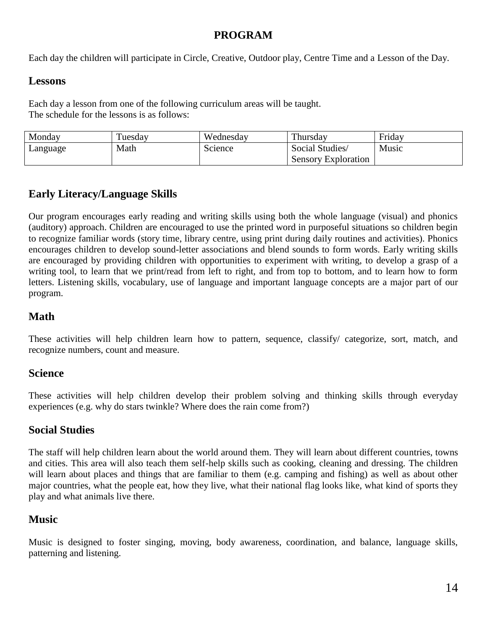### **PROGRAM**

Each day the children will participate in Circle, Creative, Outdoor play, Centre Time and a Lesson of the Day.

#### **Lessons**

Each day a lesson from one of the following curriculum areas will be taught. The schedule for the lessons is as follows:

| Monday   | uesday | Wednesday | Thursday                   | Friday |
|----------|--------|-----------|----------------------------|--------|
| Language | Math   | Science   | Social Studies/            | Music  |
|          |        |           | <b>Sensory Exploration</b> |        |

## **Early Literacy/Language Skills**

Our program encourages early reading and writing skills using both the whole language (visual) and phonics (auditory) approach. Children are encouraged to use the printed word in purposeful situations so children begin to recognize familiar words (story time, library centre, using print during daily routines and activities). Phonics encourages children to develop sound-letter associations and blend sounds to form words. Early writing skills are encouraged by providing children with opportunities to experiment with writing, to develop a grasp of a writing tool, to learn that we print/read from left to right, and from top to bottom, and to learn how to form letters. Listening skills, vocabulary, use of language and important language concepts are a major part of our program.

### **Math**

These activities will help children learn how to pattern, sequence, classify/ categorize, sort, match, and recognize numbers, count and measure.

### **Science**

These activities will help children develop their problem solving and thinking skills through everyday experiences (e.g. why do stars twinkle? Where does the rain come from?)

### **Social Studies**

The staff will help children learn about the world around them. They will learn about different countries, towns and cities. This area will also teach them self-help skills such as cooking, cleaning and dressing. The children will learn about places and things that are familiar to them (e.g. camping and fishing) as well as about other major countries, what the people eat, how they live, what their national flag looks like, what kind of sports they play and what animals live there.

## **Music**

Music is designed to foster singing, moving, body awareness, coordination, and balance, language skills, patterning and listening.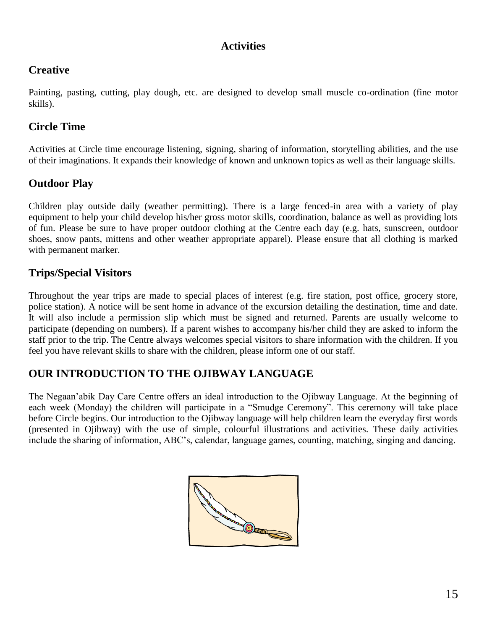### **Activities**

### **Creative**

Painting, pasting, cutting, play dough, etc. are designed to develop small muscle co-ordination (fine motor skills).

### **Circle Time**

Activities at Circle time encourage listening, signing, sharing of information, storytelling abilities, and the use of their imaginations. It expands their knowledge of known and unknown topics as well as their language skills.

### **Outdoor Play**

Children play outside daily (weather permitting). There is a large fenced-in area with a variety of play equipment to help your child develop his/her gross motor skills, coordination, balance as well as providing lots of fun. Please be sure to have proper outdoor clothing at the Centre each day (e.g. hats, sunscreen, outdoor shoes, snow pants, mittens and other weather appropriate apparel). Please ensure that all clothing is marked with permanent marker.

### **Trips/Special Visitors**

Throughout the year trips are made to special places of interest (e.g. fire station, post office, grocery store, police station). A notice will be sent home in advance of the excursion detailing the destination, time and date. It will also include a permission slip which must be signed and returned. Parents are usually welcome to participate (depending on numbers). If a parent wishes to accompany his/her child they are asked to inform the staff prior to the trip. The Centre always welcomes special visitors to share information with the children. If you feel you have relevant skills to share with the children, please inform one of our staff.

### **OUR INTRODUCTION TO THE OJIBWAY LANGUAGE**

The Negaan'abik Day Care Centre offers an ideal introduction to the Ojibway Language. At the beginning of each week (Monday) the children will participate in a "Smudge Ceremony". This ceremony will take place before Circle begins. Our introduction to the Ojibway language will help children learn the everyday first words (presented in Ojibway) with the use of simple, colourful illustrations and activities. These daily activities include the sharing of information, ABC's, calendar, language games, counting, matching, singing and dancing.

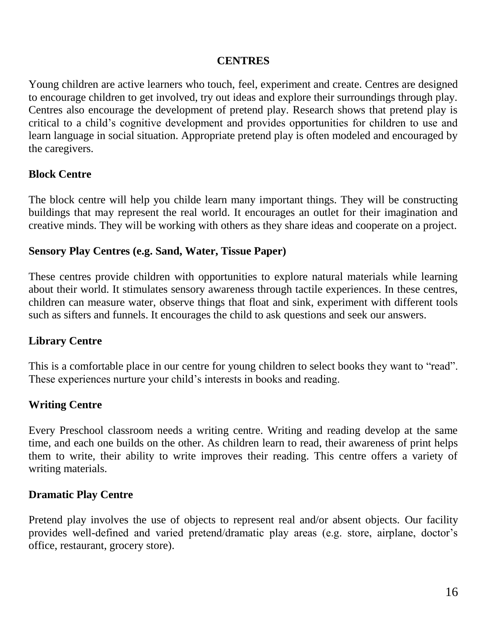### **CENTRES**

Young children are active learners who touch, feel, experiment and create. Centres are designed to encourage children to get involved, try out ideas and explore their surroundings through play. Centres also encourage the development of pretend play. Research shows that pretend play is critical to a child's cognitive development and provides opportunities for children to use and learn language in social situation. Appropriate pretend play is often modeled and encouraged by the caregivers.

### **Block Centre**

The block centre will help you childe learn many important things. They will be constructing buildings that may represent the real world. It encourages an outlet for their imagination and creative minds. They will be working with others as they share ideas and cooperate on a project.

### **Sensory Play Centres (e.g. Sand, Water, Tissue Paper)**

These centres provide children with opportunities to explore natural materials while learning about their world. It stimulates sensory awareness through tactile experiences. In these centres, children can measure water, observe things that float and sink, experiment with different tools such as sifters and funnels. It encourages the child to ask questions and seek our answers.

### **Library Centre**

This is a comfortable place in our centre for young children to select books they want to "read". These experiences nurture your child's interests in books and reading.

### **Writing Centre**

Every Preschool classroom needs a writing centre. Writing and reading develop at the same time, and each one builds on the other. As children learn to read, their awareness of print helps them to write, their ability to write improves their reading. This centre offers a variety of writing materials.

### **Dramatic Play Centre**

Pretend play involves the use of objects to represent real and/or absent objects. Our facility provides well-defined and varied pretend/dramatic play areas (e.g. store, airplane, doctor's office, restaurant, grocery store).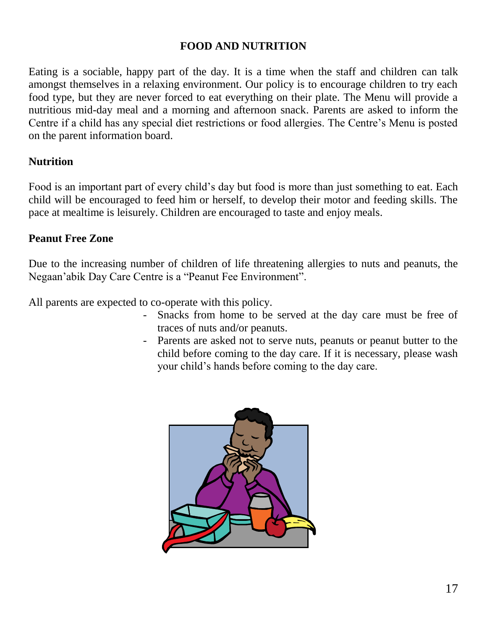### **FOOD AND NUTRITION**

Eating is a sociable, happy part of the day. It is a time when the staff and children can talk amongst themselves in a relaxing environment. Our policy is to encourage children to try each food type, but they are never forced to eat everything on their plate. The Menu will provide a nutritious mid-day meal and a morning and afternoon snack. Parents are asked to inform the Centre if a child has any special diet restrictions or food allergies. The Centre's Menu is posted on the parent information board.

### **Nutrition**

Food is an important part of every child's day but food is more than just something to eat. Each child will be encouraged to feed him or herself, to develop their motor and feeding skills. The pace at mealtime is leisurely. Children are encouraged to taste and enjoy meals.

### **Peanut Free Zone**

Due to the increasing number of children of life threatening allergies to nuts and peanuts, the Negaan'abik Day Care Centre is a "Peanut Fee Environment".

All parents are expected to co-operate with this policy.

- Snacks from home to be served at the day care must be free of traces of nuts and/or peanuts.
- Parents are asked not to serve nuts, peanuts or peanut butter to the child before coming to the day care. If it is necessary, please wash your child's hands before coming to the day care.

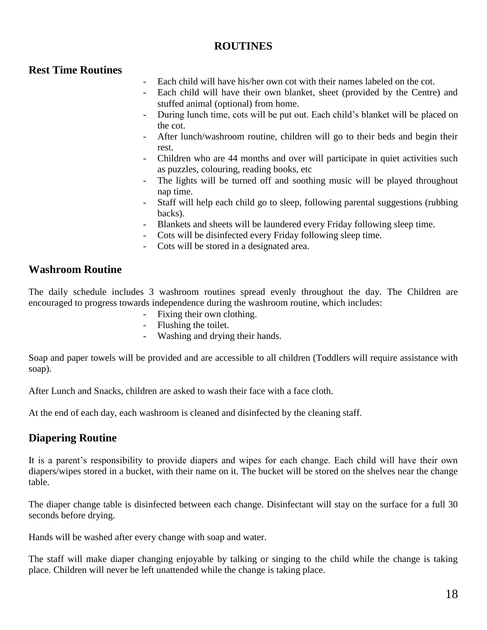### **ROUTINES**

### **Rest Time Routines**

- Each child will have his/her own cot with their names labeled on the cot.
- Each child will have their own blanket, sheet (provided by the Centre) and stuffed animal (optional) from home.
- During lunch time, cots will be put out. Each child's blanket will be placed on the cot.
- After lunch/washroom routine, children will go to their beds and begin their rest.
- Children who are 44 months and over will participate in quiet activities such as puzzles, colouring, reading books, etc
- The lights will be turned off and soothing music will be played throughout nap time.
- Staff will help each child go to sleep, following parental suggestions (rubbing backs).
- Blankets and sheets will be laundered every Friday following sleep time.
- Cots will be disinfected every Friday following sleep time.
- Cots will be stored in a designated area.

#### **Washroom Routine**

The daily schedule includes 3 washroom routines spread evenly throughout the day. The Children are encouraged to progress towards independence during the washroom routine, which includes:

- Fixing their own clothing.
- Flushing the toilet.
- Washing and drying their hands.

Soap and paper towels will be provided and are accessible to all children (Toddlers will require assistance with soap).

After Lunch and Snacks, children are asked to wash their face with a face cloth.

At the end of each day, each washroom is cleaned and disinfected by the cleaning staff.

### **Diapering Routine**

It is a parent's responsibility to provide diapers and wipes for each change. Each child will have their own diapers/wipes stored in a bucket, with their name on it. The bucket will be stored on the shelves near the change table.

The diaper change table is disinfected between each change. Disinfectant will stay on the surface for a full 30 seconds before drying.

Hands will be washed after every change with soap and water.

The staff will make diaper changing enjoyable by talking or singing to the child while the change is taking place. Children will never be left unattended while the change is taking place.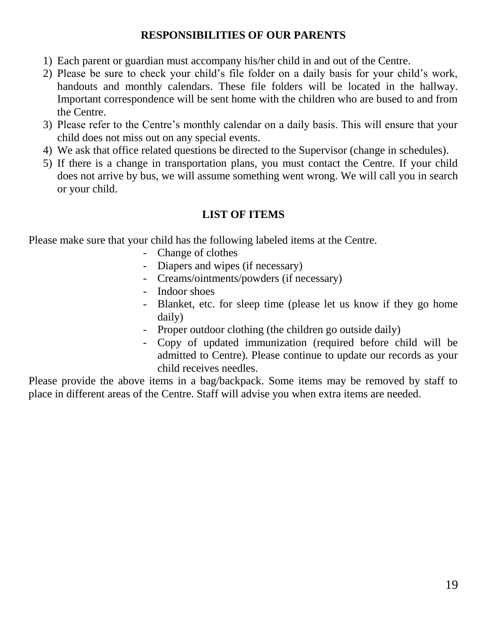### **RESPONSIBILITIES OF OUR PARENTS**

- 1) Each parent or guardian must accompany his/her child in and out of the Centre.
- 2) Please be sure to check your child's file folder on a daily basis for your child's work, handouts and monthly calendars. These file folders will be located in the hallway. Important correspondence will be sent home with the children who are bused to and from the Centre.
- 3) Please refer to the Centre's monthly calendar on a daily basis. This will ensure that your child does not miss out on any special events.
- 4) We ask that office related questions be directed to the Supervisor (change in schedules).
- 5) If there is a change in transportation plans, you must contact the Centre. If your child does not arrive by bus, we will assume something went wrong. We will call you in search or your child.

## **LIST OF ITEMS**

Please make sure that your child has the following labeled items at the Centre.

- Change of clothes
- Diapers and wipes (if necessary)
- Creams/ointments/powders (if necessary)
- Indoor shoes
- Blanket, etc. for sleep time (please let us know if they go home daily)
- Proper outdoor clothing (the children go outside daily)
- Copy of updated immunization (required before child will be admitted to Centre). Please continue to update our records as your child receives needles.

Please provide the above items in a bag/backpack. Some items may be removed by staff to place in different areas of the Centre. Staff will advise you when extra items are needed.